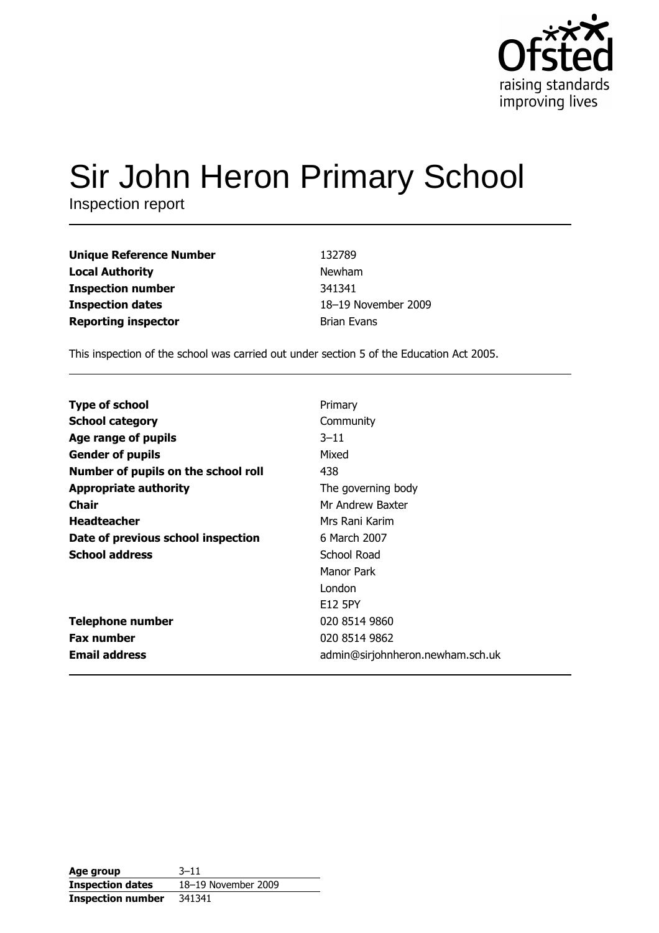

# Sir John Heron Primary School

Inspection report

| <b>Unique Reference Number</b> | 132789              |
|--------------------------------|---------------------|
| <b>Local Authority</b>         | <b>Newham</b>       |
| <b>Inspection number</b>       | 341341              |
| <b>Inspection dates</b>        | 18-19 November 2009 |
| <b>Reporting inspector</b>     | <b>Brian Evans</b>  |

This inspection of the school was carried out under section 5 of the Education Act 2005.

| <b>Type of school</b>               | Primary                          |
|-------------------------------------|----------------------------------|
| <b>School category</b>              | Community                        |
| Age range of pupils                 | $3 - 11$                         |
| <b>Gender of pupils</b>             | Mixed                            |
| Number of pupils on the school roll | 438                              |
| <b>Appropriate authority</b>        | The governing body               |
| Chair                               | Mr Andrew Baxter                 |
| <b>Headteacher</b>                  | Mrs Rani Karim                   |
| Date of previous school inspection  | 6 March 2007                     |
| <b>School address</b>               | School Road                      |
|                                     | Manor Park                       |
|                                     | London                           |
|                                     | E12 5PY                          |
| <b>Telephone number</b>             | 020 8514 9860                    |
| <b>Fax number</b>                   | 020 8514 9862                    |
| <b>Email address</b>                | admin@sirjohnheron.newham.sch.uk |

Age group  $3 - 11$ 18-19 November 2009 **Inspection dates Inspection number** 341341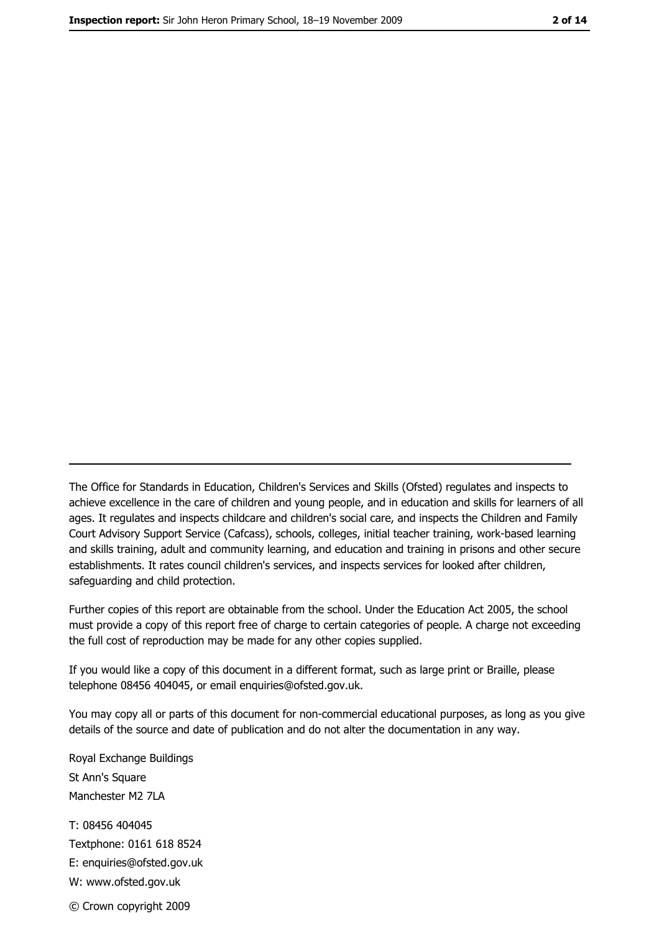The Office for Standards in Education, Children's Services and Skills (Ofsted) regulates and inspects to achieve excellence in the care of children and young people, and in education and skills for learners of all ages. It regulates and inspects childcare and children's social care, and inspects the Children and Family Court Advisory Support Service (Cafcass), schools, colleges, initial teacher training, work-based learning and skills training, adult and community learning, and education and training in prisons and other secure establishments. It rates council children's services, and inspects services for looked after children, safequarding and child protection.

Further copies of this report are obtainable from the school. Under the Education Act 2005, the school must provide a copy of this report free of charge to certain categories of people. A charge not exceeding the full cost of reproduction may be made for any other copies supplied.

If you would like a copy of this document in a different format, such as large print or Braille, please telephone 08456 404045, or email enquiries@ofsted.gov.uk.

You may copy all or parts of this document for non-commercial educational purposes, as long as you give details of the source and date of publication and do not alter the documentation in any way.

Royal Exchange Buildings St Ann's Square Manchester M2 7LA T: 08456 404045 Textphone: 0161 618 8524 E: enquiries@ofsted.gov.uk W: www.ofsted.gov.uk © Crown copyright 2009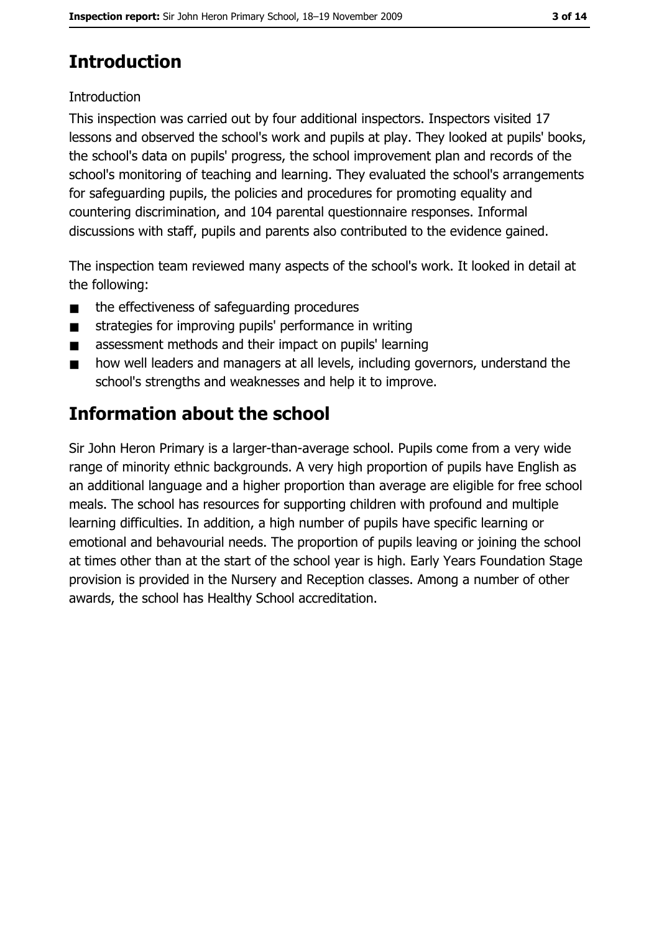# **Introduction**

#### Introduction

This inspection was carried out by four additional inspectors. Inspectors visited 17 lessons and observed the school's work and pupils at play. They looked at pupils' books, the school's data on pupils' progress, the school improvement plan and records of the school's monitoring of teaching and learning. They evaluated the school's arrangements for safeguarding pupils, the policies and procedures for promoting equality and countering discrimination, and 104 parental questionnaire responses. Informal discussions with staff, pupils and parents also contributed to the evidence gained.

The inspection team reviewed many aspects of the school's work. It looked in detail at the following:

- the effectiveness of safeguarding procedures  $\blacksquare$
- strategies for improving pupils' performance in writing  $\blacksquare$
- $\blacksquare$ assessment methods and their impact on pupils' learning
- how well leaders and managers at all levels, including governors, understand the  $\blacksquare$ school's strengths and weaknesses and help it to improve.

# **Information about the school**

Sir John Heron Primary is a larger-than-average school. Pupils come from a very wide range of minority ethnic backgrounds. A very high proportion of pupils have English as an additional language and a higher proportion than average are eligible for free school meals. The school has resources for supporting children with profound and multiple learning difficulties. In addition, a high number of pupils have specific learning or emotional and behavourial needs. The proportion of pupils leaving or joining the school at times other than at the start of the school year is high. Early Years Foundation Stage provision is provided in the Nursery and Reception classes. Among a number of other awards, the school has Healthy School accreditation.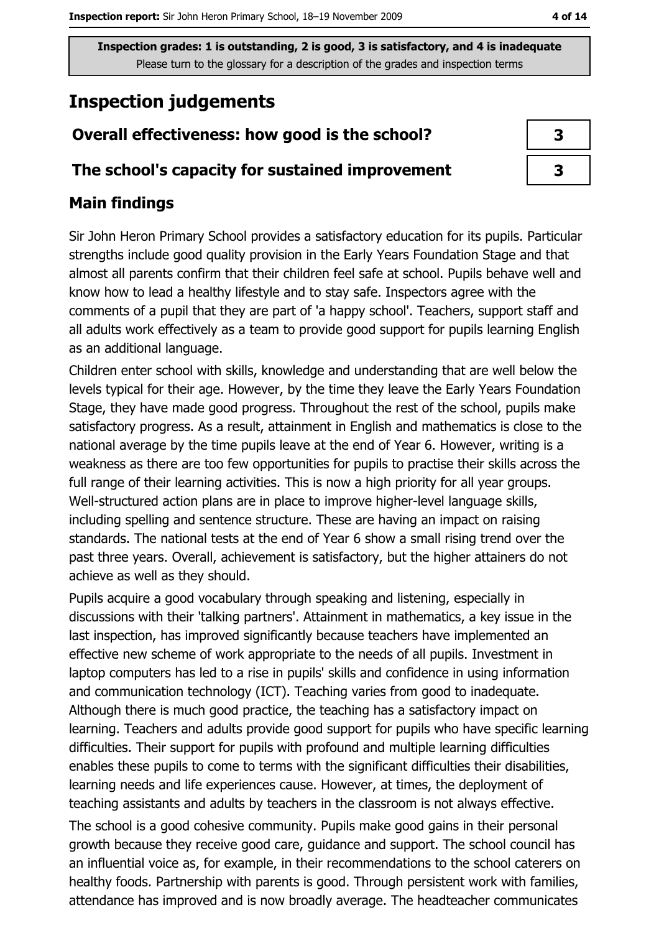# **Inspection judgements**

## Overall effectiveness: how good is the school?

#### The school's capacity for sustained improvement

## **Main findings**

Sir John Heron Primary School provides a satisfactory education for its pupils. Particular strengths include good quality provision in the Early Years Foundation Stage and that almost all parents confirm that their children feel safe at school. Pupils behave well and know how to lead a healthy lifestyle and to stay safe. Inspectors agree with the comments of a pupil that they are part of 'a happy school'. Teachers, support staff and all adults work effectively as a team to provide good support for pupils learning English as an additional language.

Children enter school with skills, knowledge and understanding that are well below the levels typical for their age. However, by the time they leave the Early Years Foundation Stage, they have made good progress. Throughout the rest of the school, pupils make satisfactory progress. As a result, attainment in English and mathematics is close to the national average by the time pupils leave at the end of Year 6. However, writing is a weakness as there are too few opportunities for pupils to practise their skills across the full range of their learning activities. This is now a high priority for all year groups. Well-structured action plans are in place to improve higher-level language skills, including spelling and sentence structure. These are having an impact on raising standards. The national tests at the end of Year 6 show a small rising trend over the past three years. Overall, achievement is satisfactory, but the higher attainers do not achieve as well as they should.

Pupils acquire a good vocabulary through speaking and listening, especially in discussions with their 'talking partners'. Attainment in mathematics, a key issue in the last inspection, has improved significantly because teachers have implemented an effective new scheme of work appropriate to the needs of all pupils. Investment in laptop computers has led to a rise in pupils' skills and confidence in using information and communication technology (ICT). Teaching varies from good to inadequate. Although there is much good practice, the teaching has a satisfactory impact on learning. Teachers and adults provide good support for pupils who have specific learning difficulties. Their support for pupils with profound and multiple learning difficulties enables these pupils to come to terms with the significant difficulties their disabilities, learning needs and life experiences cause. However, at times, the deployment of teaching assistants and adults by teachers in the classroom is not always effective.

The school is a good cohesive community. Pupils make good gains in their personal growth because they receive good care, guidance and support. The school council has an influential voice as, for example, in their recommendations to the school caterers on healthy foods. Partnership with parents is good. Through persistent work with families, attendance has improved and is now broadly average. The headteacher communicates

| 3 |
|---|
|   |
|   |

 $\overline{\mathbf{3}}$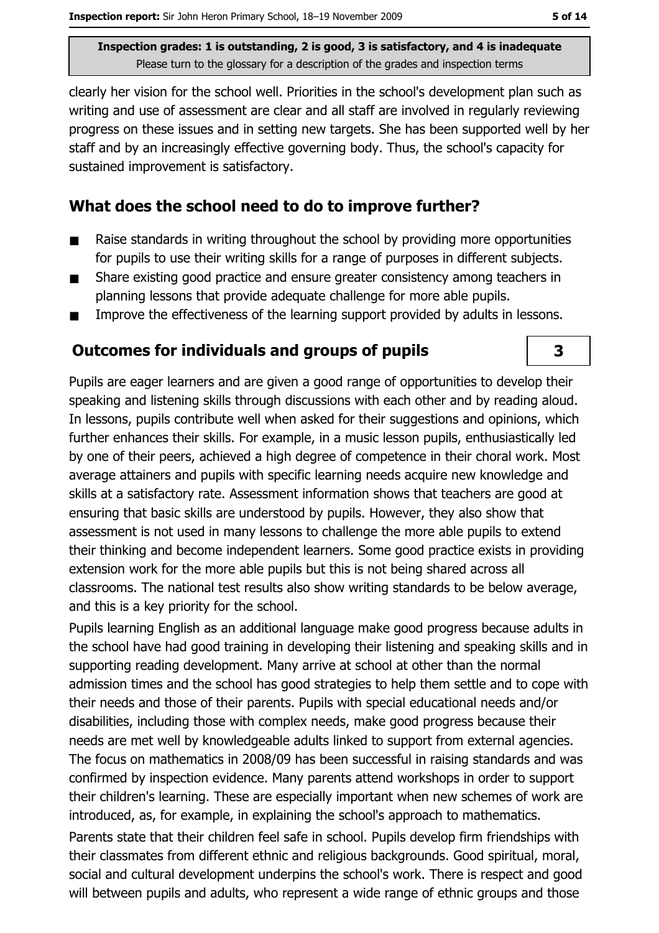clearly her vision for the school well. Priorities in the school's development plan such as writing and use of assessment are clear and all staff are involved in regularly reviewing progress on these issues and in setting new targets. She has been supported well by her staff and by an increasingly effective governing body. Thus, the school's capacity for sustained improvement is satisfactory.

#### What does the school need to do to improve further?

- Raise standards in writing throughout the school by providing more opportunities  $\blacksquare$ for pupils to use their writing skills for a range of purposes in different subjects.
- Share existing good practice and ensure greater consistency among teachers in  $\blacksquare$ planning lessons that provide adequate challenge for more able pupils.
- Improve the effectiveness of the learning support provided by adults in lessons.  $\blacksquare$

## **Outcomes for individuals and groups of pupils**

Pupils are eager learners and are given a good range of opportunities to develop their speaking and listening skills through discussions with each other and by reading aloud. In lessons, pupils contribute well when asked for their suggestions and opinions, which further enhances their skills. For example, in a music lesson pupils, enthusiastically led by one of their peers, achieved a high degree of competence in their choral work. Most average attainers and pupils with specific learning needs acquire new knowledge and skills at a satisfactory rate. Assessment information shows that teachers are good at ensuring that basic skills are understood by pupils. However, they also show that assessment is not used in many lessons to challenge the more able pupils to extend their thinking and become independent learners. Some good practice exists in providing extension work for the more able pupils but this is not being shared across all classrooms. The national test results also show writing standards to be below average, and this is a key priority for the school.

Pupils learning English as an additional language make good progress because adults in the school have had good training in developing their listening and speaking skills and in supporting reading development. Many arrive at school at other than the normal admission times and the school has good strategies to help them settle and to cope with their needs and those of their parents. Pupils with special educational needs and/or disabilities, including those with complex needs, make good progress because their needs are met well by knowledgeable adults linked to support from external agencies. The focus on mathematics in 2008/09 has been successful in raising standards and was confirmed by inspection evidence. Many parents attend workshops in order to support their children's learning. These are especially important when new schemes of work are introduced, as, for example, in explaining the school's approach to mathematics. Parents state that their children feel safe in school. Pupils develop firm friendships with

their classmates from different ethnic and religious backgrounds. Good spiritual, moral, social and cultural development underpins the school's work. There is respect and good will between pupils and adults, who represent a wide range of ethnic groups and those

3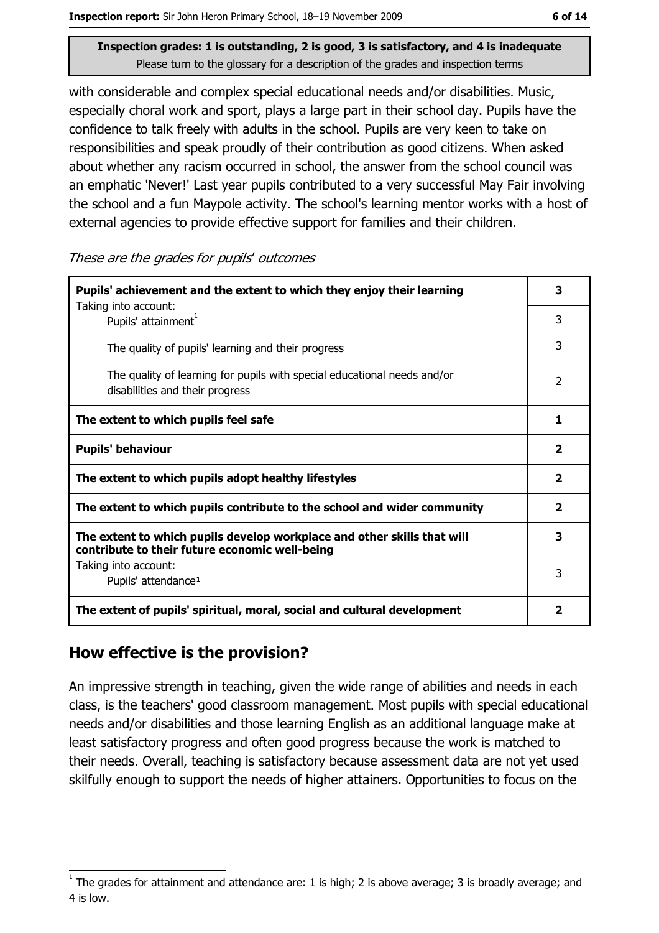with considerable and complex special educational needs and/or disabilities. Music, especially choral work and sport, plays a large part in their school day. Pupils have the confidence to talk freely with adults in the school. Pupils are very keen to take on responsibilities and speak proudly of their contribution as good citizens. When asked about whether any racism occurred in school, the answer from the school council was an emphatic 'Never!' Last year pupils contributed to a very successful May Fair involving the school and a fun Maypole activity. The school's learning mentor works with a host of external agencies to provide effective support for families and their children.

These are the grades for pupils' outcomes

| Pupils' achievement and the extent to which they enjoy their learning                                                     |   |
|---------------------------------------------------------------------------------------------------------------------------|---|
| Taking into account:<br>Pupils' attainment <sup>1</sup>                                                                   | 3 |
| The quality of pupils' learning and their progress                                                                        | 3 |
| The quality of learning for pupils with special educational needs and/or<br>disabilities and their progress               |   |
| The extent to which pupils feel safe                                                                                      |   |
| <b>Pupils' behaviour</b>                                                                                                  |   |
| The extent to which pupils adopt healthy lifestyles                                                                       |   |
| The extent to which pupils contribute to the school and wider community                                                   |   |
| The extent to which pupils develop workplace and other skills that will<br>contribute to their future economic well-being |   |
| Taking into account:                                                                                                      | 3 |
| Pupils' attendance <sup>1</sup>                                                                                           |   |
| The extent of pupils' spiritual, moral, social and cultural development                                                   |   |

#### How effective is the provision?

An impressive strength in teaching, given the wide range of abilities and needs in each class, is the teachers' good classroom management. Most pupils with special educational needs and/or disabilities and those learning English as an additional language make at least satisfactory progress and often good progress because the work is matched to their needs. Overall, teaching is satisfactory because assessment data are not yet used skilfully enough to support the needs of higher attainers. Opportunities to focus on the

The grades for attainment and attendance are: 1 is high; 2 is above average; 3 is broadly average; and 4 is low.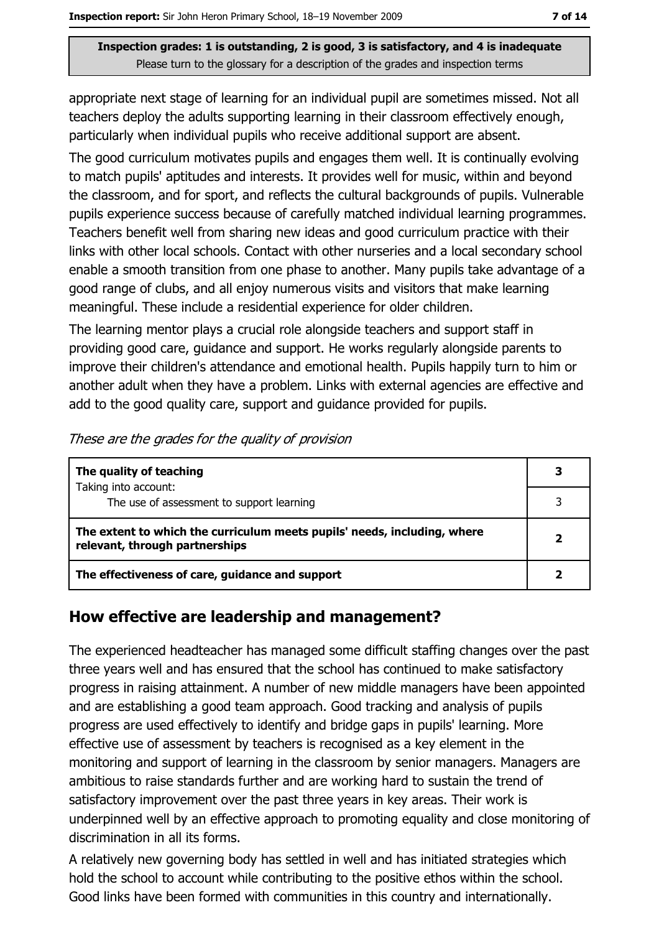appropriate next stage of learning for an individual pupil are sometimes missed. Not all teachers deploy the adults supporting learning in their classroom effectively enough, particularly when individual pupils who receive additional support are absent.

The good curriculum motivates pupils and engages them well. It is continually evolving to match pupils' aptitudes and interests. It provides well for music, within and beyond the classroom, and for sport, and reflects the cultural backgrounds of pupils. Vulnerable pupils experience success because of carefully matched individual learning programmes. Teachers benefit well from sharing new ideas and good curriculum practice with their links with other local schools. Contact with other nurseries and a local secondary school enable a smooth transition from one phase to another. Many pupils take advantage of a good range of clubs, and all enjoy numerous visits and visitors that make learning meaningful. These include a residential experience for older children.

The learning mentor plays a crucial role alongside teachers and support staff in providing good care, guidance and support. He works regularly alongside parents to improve their children's attendance and emotional health. Pupils happily turn to him or another adult when they have a problem. Links with external agencies are effective and add to the good quality care, support and guidance provided for pupils.

| The quality of teaching                                                                                    | 3 |
|------------------------------------------------------------------------------------------------------------|---|
| Taking into account:<br>The use of assessment to support learning                                          |   |
| The extent to which the curriculum meets pupils' needs, including, where<br>relevant, through partnerships |   |
| The effectiveness of care, guidance and support                                                            |   |

These are the grades for the quality of provision

#### How effective are leadership and management?

The experienced headteacher has managed some difficult staffing changes over the past three years well and has ensured that the school has continued to make satisfactory progress in raising attainment. A number of new middle managers have been appointed and are establishing a good team approach. Good tracking and analysis of pupils progress are used effectively to identify and bridge gaps in pupils' learning. More effective use of assessment by teachers is recognised as a key element in the monitoring and support of learning in the classroom by senior managers. Managers are ambitious to raise standards further and are working hard to sustain the trend of satisfactory improvement over the past three years in key areas. Their work is underpinned well by an effective approach to promoting equality and close monitoring of discrimination in all its forms.

A relatively new governing body has settled in well and has initiated strategies which hold the school to account while contributing to the positive ethos within the school. Good links have been formed with communities in this country and internationally.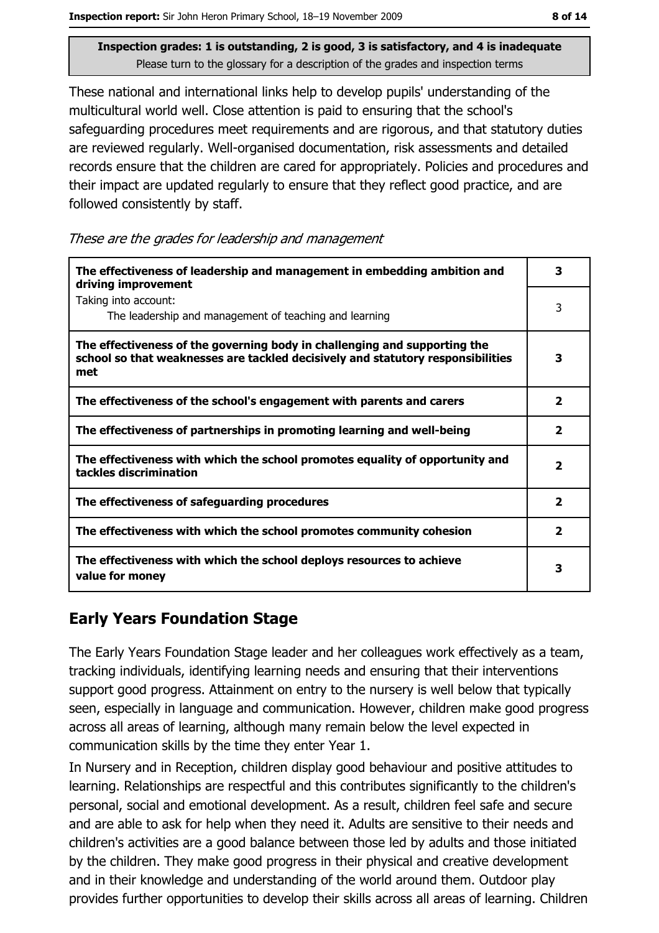These national and international links help to develop pupils' understanding of the multicultural world well. Close attention is paid to ensuring that the school's safeguarding procedures meet requirements and are rigorous, and that statutory duties are reviewed regularly. Well-organised documentation, risk assessments and detailed records ensure that the children are cared for appropriately. Policies and procedures and their impact are updated regularly to ensure that they reflect good practice, and are followed consistently by staff.

These are the grades for leadership and management

| The effectiveness of leadership and management in embedding ambition and<br>driving improvement                                                                     |                         |
|---------------------------------------------------------------------------------------------------------------------------------------------------------------------|-------------------------|
| Taking into account:<br>The leadership and management of teaching and learning                                                                                      | 3                       |
| The effectiveness of the governing body in challenging and supporting the<br>school so that weaknesses are tackled decisively and statutory responsibilities<br>met |                         |
| The effectiveness of the school's engagement with parents and carers                                                                                                | $\overline{\mathbf{2}}$ |
| The effectiveness of partnerships in promoting learning and well-being                                                                                              | $\overline{\mathbf{2}}$ |
| The effectiveness with which the school promotes equality of opportunity and<br>tackles discrimination                                                              |                         |
| The effectiveness of safeguarding procedures                                                                                                                        | $\overline{\mathbf{2}}$ |
| The effectiveness with which the school promotes community cohesion                                                                                                 | $\overline{\mathbf{2}}$ |
| The effectiveness with which the school deploys resources to achieve<br>value for money                                                                             |                         |

## **Early Years Foundation Stage**

The Early Years Foundation Stage leader and her colleagues work effectively as a team, tracking individuals, identifying learning needs and ensuring that their interventions support good progress. Attainment on entry to the nursery is well below that typically seen, especially in language and communication. However, children make good progress across all areas of learning, although many remain below the level expected in communication skills by the time they enter Year 1.

In Nursery and in Reception, children display good behaviour and positive attitudes to learning. Relationships are respectful and this contributes significantly to the children's personal, social and emotional development. As a result, children feel safe and secure and are able to ask for help when they need it. Adults are sensitive to their needs and children's activities are a good balance between those led by adults and those initiated by the children. They make good progress in their physical and creative development and in their knowledge and understanding of the world around them. Outdoor play provides further opportunities to develop their skills across all areas of learning. Children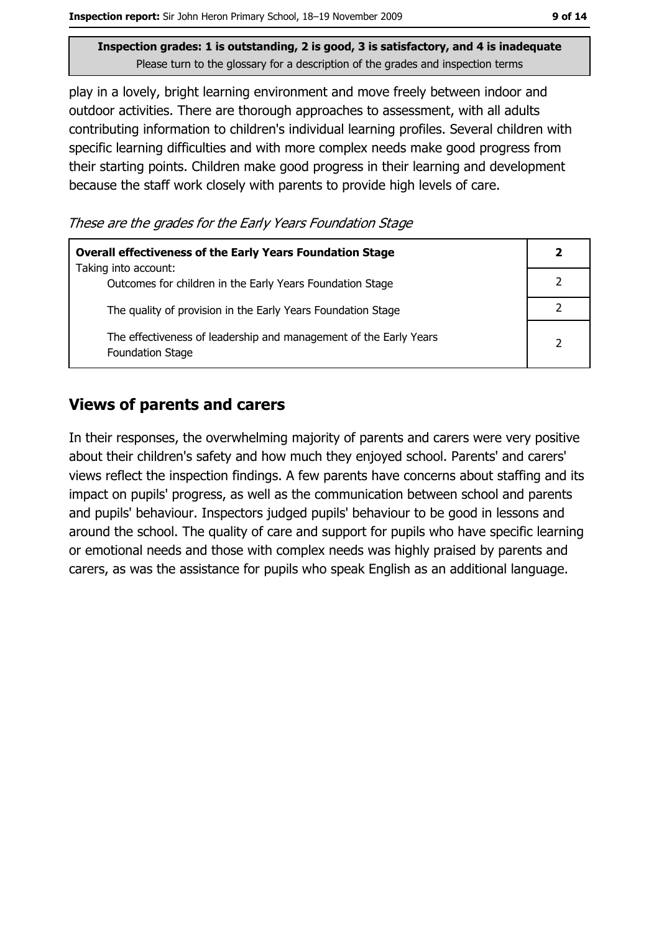play in a lovely, bright learning environment and move freely between indoor and outdoor activities. There are thorough approaches to assessment, with all adults contributing information to children's individual learning profiles. Several children with specific learning difficulties and with more complex needs make good progress from their starting points. Children make good progress in their learning and development because the staff work closely with parents to provide high levels of care.

These are the grades for the Early Years Foundation Stage

| <b>Overall effectiveness of the Early Years Foundation Stage</b>                             |               |
|----------------------------------------------------------------------------------------------|---------------|
| Taking into account:<br>Outcomes for children in the Early Years Foundation Stage            |               |
| The quality of provision in the Early Years Foundation Stage                                 |               |
| The effectiveness of leadership and management of the Early Years<br><b>Foundation Stage</b> | $\mathcal{P}$ |

#### **Views of parents and carers**

In their responses, the overwhelming majority of parents and carers were very positive about their children's safety and how much they enioved school. Parents' and carers' views reflect the inspection findings. A few parents have concerns about staffing and its impact on pupils' progress, as well as the communication between school and parents and pupils' behaviour. Inspectors judged pupils' behaviour to be good in lessons and around the school. The quality of care and support for pupils who have specific learning or emotional needs and those with complex needs was highly praised by parents and carers, as was the assistance for pupils who speak English as an additional language.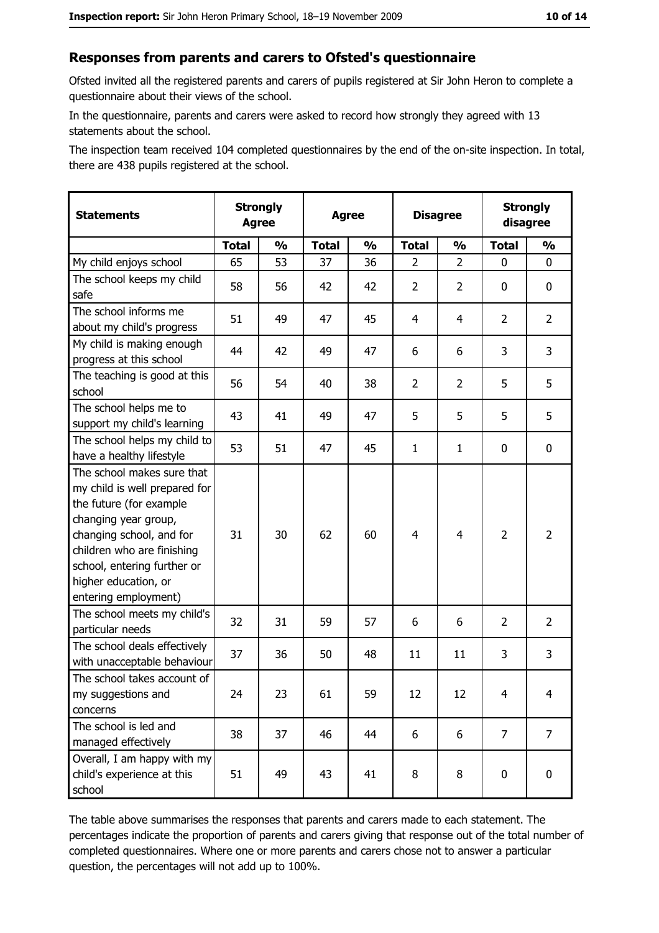#### Responses from parents and carers to Ofsted's questionnaire

Ofsted invited all the registered parents and carers of pupils registered at Sir John Heron to complete a questionnaire about their views of the school.

In the questionnaire, parents and carers were asked to record how strongly they agreed with 13 statements about the school.

The inspection team received 104 completed questionnaires by the end of the on-site inspection. In total, there are 438 pupils registered at the school.

| <b>Statements</b>                                                                                                                                                                                                                                       | <b>Strongly</b><br><b>Agree</b> |               | <b>Agree</b> |               | <b>Disagree</b> |                | <b>Strongly</b><br>disagree |                |
|---------------------------------------------------------------------------------------------------------------------------------------------------------------------------------------------------------------------------------------------------------|---------------------------------|---------------|--------------|---------------|-----------------|----------------|-----------------------------|----------------|
|                                                                                                                                                                                                                                                         | <b>Total</b>                    | $\frac{0}{0}$ | <b>Total</b> | $\frac{0}{0}$ | <b>Total</b>    | $\frac{0}{0}$  | <b>Total</b>                | $\frac{0}{0}$  |
| My child enjoys school                                                                                                                                                                                                                                  | 65                              | 53            | 37           | 36            | $\overline{2}$  | $\overline{2}$ | $\mathbf{0}$                | $\mathbf{0}$   |
| The school keeps my child<br>safe                                                                                                                                                                                                                       | 58                              | 56            | 42           | 42            | $\overline{2}$  | 2              | 0                           | 0              |
| The school informs me<br>about my child's progress                                                                                                                                                                                                      | 51                              | 49            | 47           | 45            | 4               | 4              | $\overline{2}$              | $\overline{2}$ |
| My child is making enough<br>progress at this school                                                                                                                                                                                                    | 44                              | 42            | 49           | 47            | 6               | 6              | 3                           | 3              |
| The teaching is good at this<br>school                                                                                                                                                                                                                  | 56                              | 54            | 40           | 38            | $\overline{2}$  | 2              | 5                           | 5              |
| The school helps me to<br>support my child's learning                                                                                                                                                                                                   | 43                              | 41            | 49           | 47            | 5               | 5              | 5                           | 5              |
| The school helps my child to<br>have a healthy lifestyle                                                                                                                                                                                                | 53                              | 51            | 47           | 45            | $\mathbf{1}$    | $\mathbf{1}$   | 0                           | $\mathbf 0$    |
| The school makes sure that<br>my child is well prepared for<br>the future (for example<br>changing year group,<br>changing school, and for<br>children who are finishing<br>school, entering further or<br>higher education, or<br>entering employment) | 31                              | 30            | 62           | 60            | $\overline{4}$  | 4              | $\overline{2}$              | $\overline{2}$ |
| The school meets my child's<br>particular needs                                                                                                                                                                                                         | 32                              | 31            | 59           | 57            | 6               | 6              | $\overline{2}$              | $\overline{2}$ |
| The school deals effectively<br>with unacceptable behaviour                                                                                                                                                                                             | 37                              | 36            | 50           | 48            | 11              | 11             | 3                           | 3              |
| The school takes account of<br>my suggestions and<br>concerns                                                                                                                                                                                           | 24                              | 23            | 61           | 59            | 12              | 12             | 4                           | 4              |
| The school is led and<br>managed effectively                                                                                                                                                                                                            | 38                              | 37            | 46           | 44            | 6               | 6              | $\overline{7}$              | $\overline{7}$ |
| Overall, I am happy with my<br>child's experience at this<br>school                                                                                                                                                                                     | 51                              | 49            | 43           | 41            | 8               | 8              | $\mathbf 0$                 | $\mathbf 0$    |

The table above summarises the responses that parents and carers made to each statement. The percentages indicate the proportion of parents and carers giving that response out of the total number of completed questionnaires. Where one or more parents and carers chose not to answer a particular question, the percentages will not add up to 100%.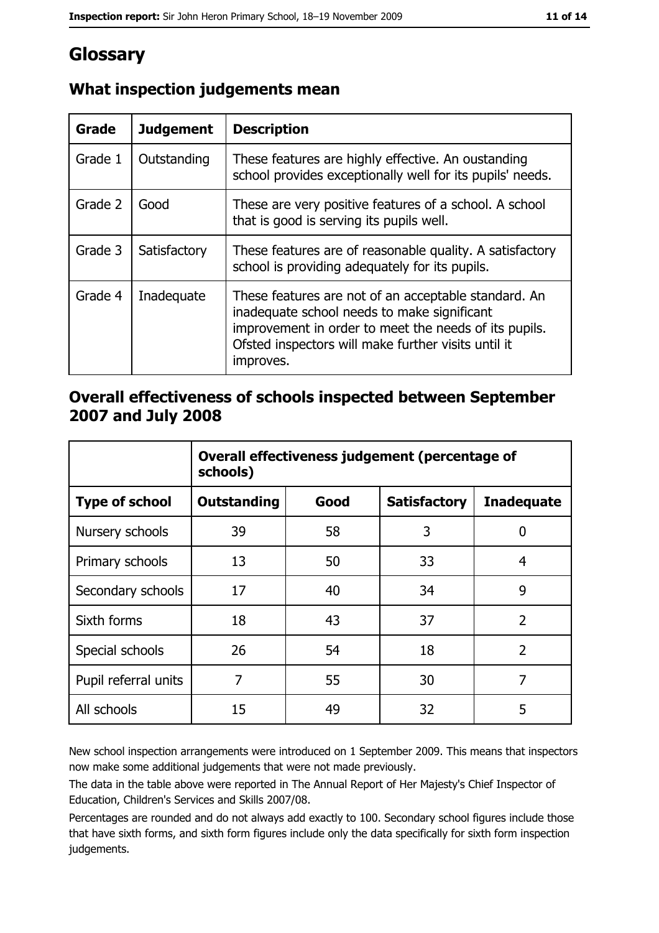# Glossary

| <b>Grade</b> | <b>Judgement</b> | <b>Description</b>                                                                                                                                                                                                               |  |
|--------------|------------------|----------------------------------------------------------------------------------------------------------------------------------------------------------------------------------------------------------------------------------|--|
| Grade 1      | Outstanding      | These features are highly effective. An oustanding<br>school provides exceptionally well for its pupils' needs.                                                                                                                  |  |
| Grade 2      | Good             | These are very positive features of a school. A school<br>that is good is serving its pupils well.                                                                                                                               |  |
| Grade 3      | Satisfactory     | These features are of reasonable quality. A satisfactory<br>school is providing adequately for its pupils.                                                                                                                       |  |
| Grade 4      | Inadequate       | These features are not of an acceptable standard. An<br>inadequate school needs to make significant<br>improvement in order to meet the needs of its pupils.<br>Ofsted inspectors will make further visits until it<br>improves. |  |

## What inspection judgements mean

## Overall effectiveness of schools inspected between September 2007 and July 2008

|                       | Overall effectiveness judgement (percentage of<br>schools) |      |                     |                   |
|-----------------------|------------------------------------------------------------|------|---------------------|-------------------|
| <b>Type of school</b> | Outstanding                                                | Good | <b>Satisfactory</b> | <b>Inadequate</b> |
| Nursery schools       | 39                                                         | 58   | 3                   | 0                 |
| Primary schools       | 13                                                         | 50   | 33                  | 4                 |
| Secondary schools     | 17                                                         | 40   | 34                  | 9                 |
| Sixth forms           | 18                                                         | 43   | 37                  | $\overline{2}$    |
| Special schools       | 26                                                         | 54   | 18                  | $\overline{2}$    |
| Pupil referral units  | 7                                                          | 55   | 30                  | 7                 |
| All schools           | 15                                                         | 49   | 32                  | 5                 |

New school inspection arrangements were introduced on 1 September 2009. This means that inspectors now make some additional judgements that were not made previously.

The data in the table above were reported in The Annual Report of Her Majesty's Chief Inspector of Education, Children's Services and Skills 2007/08.

Percentages are rounded and do not always add exactly to 100. Secondary school figures include those that have sixth forms, and sixth form figures include only the data specifically for sixth form inspection judgements.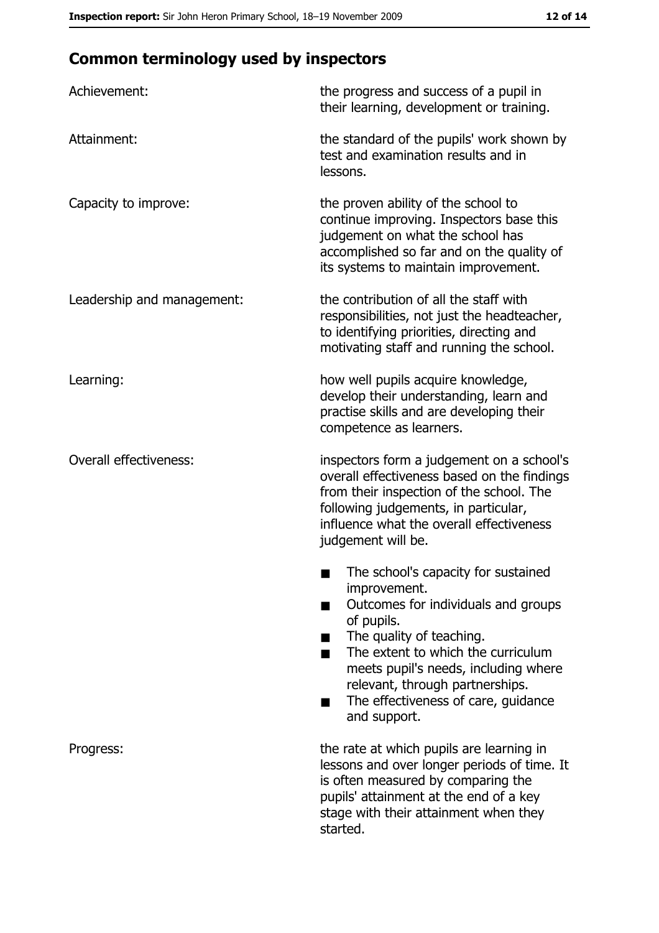# **Common terminology used by inspectors**

| Achievement:                  | the progress and success of a pupil in<br>their learning, development or training.                                                                                                                                                                                                                           |
|-------------------------------|--------------------------------------------------------------------------------------------------------------------------------------------------------------------------------------------------------------------------------------------------------------------------------------------------------------|
| Attainment:                   | the standard of the pupils' work shown by<br>test and examination results and in<br>lessons.                                                                                                                                                                                                                 |
| Capacity to improve:          | the proven ability of the school to<br>continue improving. Inspectors base this<br>judgement on what the school has<br>accomplished so far and on the quality of<br>its systems to maintain improvement.                                                                                                     |
| Leadership and management:    | the contribution of all the staff with<br>responsibilities, not just the headteacher,<br>to identifying priorities, directing and<br>motivating staff and running the school.                                                                                                                                |
| Learning:                     | how well pupils acquire knowledge,<br>develop their understanding, learn and<br>practise skills and are developing their<br>competence as learners.                                                                                                                                                          |
| <b>Overall effectiveness:</b> | inspectors form a judgement on a school's<br>overall effectiveness based on the findings<br>from their inspection of the school. The<br>following judgements, in particular,<br>influence what the overall effectiveness<br>judgement will be.                                                               |
|                               | The school's capacity for sustained<br>improvement.<br>Outcomes for individuals and groups<br>of pupils.<br>The quality of teaching.<br>The extent to which the curriculum<br>meets pupil's needs, including where<br>relevant, through partnerships.<br>The effectiveness of care, guidance<br>and support. |
| Progress:                     | the rate at which pupils are learning in<br>lessons and over longer periods of time. It<br>is often measured by comparing the<br>pupils' attainment at the end of a key<br>stage with their attainment when they<br>started.                                                                                 |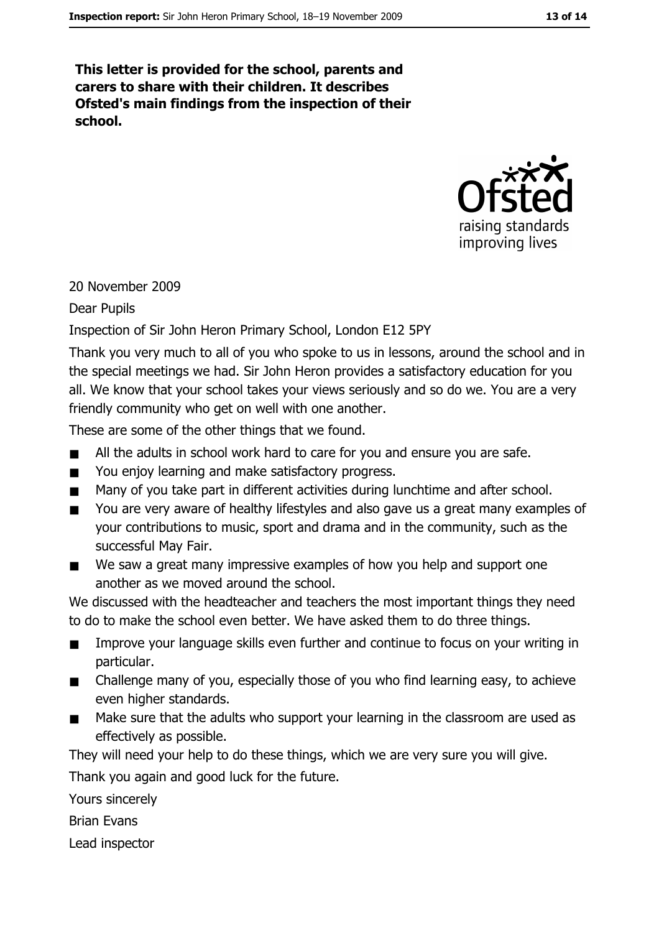This letter is provided for the school, parents and carers to share with their children. It describes Ofsted's main findings from the inspection of their school.



#### 20 November 2009

#### **Dear Pupils**

#### Inspection of Sir John Heron Primary School, London E12 5PY

Thank you very much to all of you who spoke to us in lessons, around the school and in the special meetings we had. Sir John Heron provides a satisfactory education for you all. We know that your school takes your views seriously and so do we. You are a very friendly community who get on well with one another.

These are some of the other things that we found.

- All the adults in school work hard to care for you and ensure you are safe.  $\blacksquare$
- You enjoy learning and make satisfactory progress.  $\blacksquare$
- Many of you take part in different activities during lunchtime and after school.  $\blacksquare$
- You are very aware of healthy lifestyles and also gave us a great many examples of  $\blacksquare$ your contributions to music, sport and drama and in the community, such as the successful May Fair.
- We saw a great many impressive examples of how you help and support one  $\blacksquare$ another as we moved around the school.

We discussed with the headteacher and teachers the most important things they need to do to make the school even better. We have asked them to do three things.

- Improve your language skills even further and continue to focus on your writing in  $\blacksquare$ particular.
- Challenge many of you, especially those of you who find learning easy, to achieve  $\blacksquare$ even higher standards.
- Make sure that the adults who support your learning in the classroom are used as  $\blacksquare$ effectively as possible.

They will need your help to do these things, which we are very sure you will give.

Thank you again and good luck for the future.

Yours sincerely

**Brian Fyans** 

Lead inspector